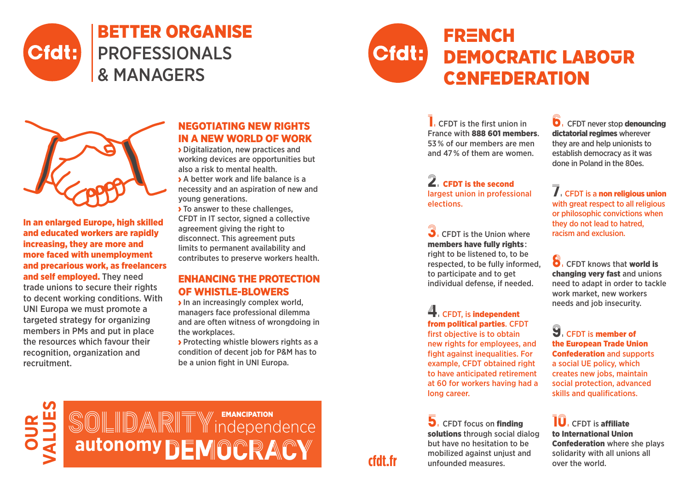



# **FRENCH** DEMOCRATIC LABOUR **CONFEDERATION**



In an enlarged Europe, high skilled and educated workers are rapidly increasing, they are more and more faced with unemployment and precarious work, as freelancers and self employed. They need trade unions to secure their rights to decent working conditions. With UNI Europa we must promote a targeted strategy for organizing members in PMs and put in place the resources which favour their recognition, organization and recruitment.

## Negotiating New rights in a new world of work

 Digitalization, new practices and working devices are opportunities but also a risk to mental health.

 A better work and life balance is a necessity and an aspiration of new and young generations.

> To answer to these challenges, CFDT in IT sector, signed a collective agreement giving the right to disconnect. This agreement puts limits to permanent availability and contributes to preserve workers health.

### Enhancing the protection OF WHISTI F-RI OWFRS

 $\rightarrow$  In an increasingly complex world, managers face professional dilemma and are often witness of wrongdoing in the workplaces.

**Protecting whistle blowers rights as a** condition of decent job for P&M has to be a union fight in UNI Europa.

 $\blacksquare$ . CFDT is the first union in France with 888 601 members. 53 % of our members are men and 47 % of them are women.

2. CFDT is the second largest union in professional elections.

**3**. CFDT is the Union where members have fully rights : right to be listened to, to be respected, to be fully informed, to participate and to get individual defense, if needed.

4. CFDT, is independent from political parties. CFDT

first objective is to obtain new rights for employees, and fight against inequalities. For example, CFDT obtained right to have anticipated retirement at 60 for workers having had a long career.

5. CFDT focus on finding solutions through social dialog but have no hesitation to be mobilized against unjust and unfounded measures.

**D**. CFDT never stop **denouncing** dictatorial regimes wherever they are and help unionists to establish democracy as it was done in Poland in the 80es.

 $\overline{\overline{J}}$ . CFDT is a non religious union with great respect to all religious or philosophic convictions when they do not lead to hatred, racism and exclusion.

8. CFDT knows that world is changing very fast and unions need to adapt in order to tackle work market, new workers needs and job insecurity.

**9.** CFDT is member of the European Trade Union Confederation and supports a social UE policy, which creates new jobs, maintain social protection, advanced skills and qualifications.

**10**. CFDT is affiliate to International Union Confederation where she plays solidarity with all unions all over the world.



## **cfdt.fr**